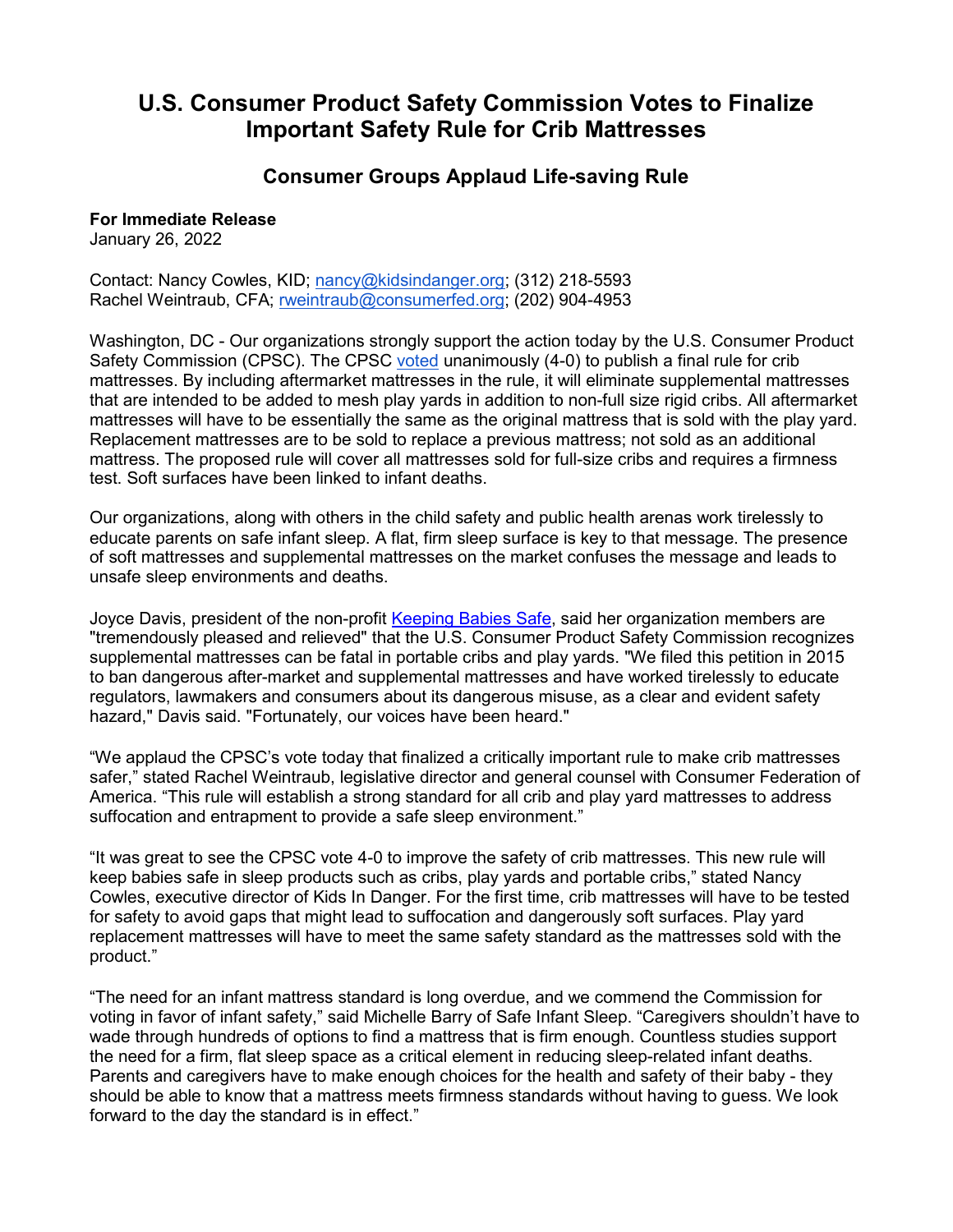## **U.S. Consumer Product Safety Commission Votes to Finalize Important Safety Rule for Crib Mattresses**

## **Consumer Groups Applaud Life-saving Rule**

## **For Immediate Release**

January 26, 2022

Contact: Nancy Cowles, KID; [nancy@kidsindanger.org;](mailto:nancy@kidsindanger.org) (312) 218-5593 Rachel Weintraub, CFA; [rweintraub@consumerfed.org;](mailto:rweintraub@consumerfed.org) (202) 904-4953

Washington, DC - Our organizations strongly support the action today by the U.S. Consumer Product Safety Commission (CPSC). The CPSC [voted](https://youtu.be/sb8Ab5mtCPk) unanimously (4-0) to publish a final rule for crib mattresses. By including aftermarket mattresses in the rule, it will eliminate supplemental mattresses that are intended to be added to mesh play yards in addition to non-full size rigid cribs. All aftermarket mattresses will have to be essentially the same as the original mattress that is sold with the play yard. Replacement mattresses are to be sold to replace a previous mattress; not sold as an additional mattress. The proposed rule will cover all mattresses sold for full-size cribs and requires a firmness test. Soft surfaces have been linked to infant deaths.

Our organizations, along with others in the child safety and public health arenas work tirelessly to educate parents on safe infant sleep. A flat, firm sleep surface is key to that message. The presence of soft mattresses and supplemental mattresses on the market confuses the message and leads to unsafe sleep environments and deaths.

Joyce Davis, president of the non-profit [Keeping Babies Safe,](https://keepingbabiessafe.org/) said her organization members are "tremendously pleased and relieved" that the U.S. Consumer Product Safety Commission recognizes supplemental mattresses can be fatal in portable cribs and play yards. "We filed this petition in 2015 to ban dangerous after-market and supplemental mattresses and have worked tirelessly to educate regulators, lawmakers and consumers about its dangerous misuse, as a clear and evident safety hazard," Davis said. "Fortunately, our voices have been heard."

"We applaud the CPSC's vote today that finalized a critically important rule to make crib mattresses safer," stated Rachel Weintraub, legislative director and general counsel with Consumer Federation of America. "This rule will establish a strong standard for all crib and play yard mattresses to address suffocation and entrapment to provide a safe sleep environment."

"It was great to see the CPSC vote 4-0 to improve the safety of crib mattresses. This new rule will keep babies safe in sleep products such as cribs, play yards and portable cribs," stated Nancy Cowles, executive director of Kids In Danger. For the first time, crib mattresses will have to be tested for safety to avoid gaps that might lead to suffocation and dangerously soft surfaces. Play yard replacement mattresses will have to meet the same safety standard as the mattresses sold with the product."

"The need for an infant mattress standard is long overdue, and we commend the Commission for voting in favor of infant safety," said Michelle Barry of Safe Infant Sleep. "Caregivers shouldn't have to wade through hundreds of options to find a mattress that is firm enough. Countless studies support the need for a firm, flat sleep space as a critical element in reducing sleep-related infant deaths. Parents and caregivers have to make enough choices for the health and safety of their baby - they should be able to know that a mattress meets firmness standards without having to guess. We look forward to the day the standard is in effect."